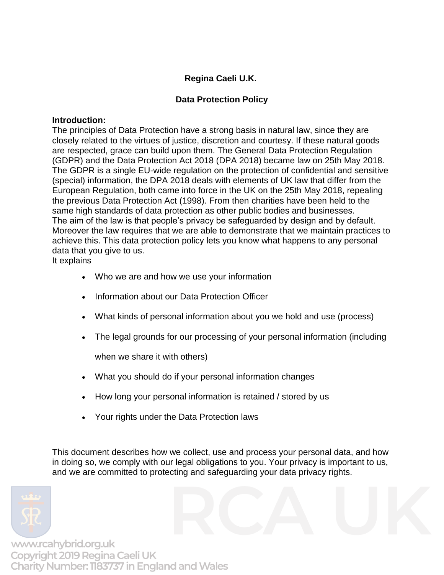# **Regina Caeli U.K.**

# **Data Protection Policy**

#### **Introduction:**

The principles of Data Protection have a strong basis in natural law, since they are closely related to the virtues of justice, discretion and courtesy. If these natural goods are respected, grace can build upon them. The General Data Protection Regulation (GDPR) and the Data Protection Act 2018 (DPA 2018) became law on 25th May 2018. The GDPR is a single EU-wide regulation on the protection of confidential and sensitive (special) information, the DPA 2018 deals with elements of UK law that differ from the European Regulation, both came into force in the UK on the 25th May 2018, repealing the previous Data Protection Act (1998). From then charities have been held to the same high standards of data protection as other public bodies and businesses. The aim of the law is that people's privacy be safeguarded by design and by default. Moreover the law requires that we are able to demonstrate that we maintain practices to achieve this. This data protection policy lets you know what happens to any personal data that you give to us.

It explains

- Who we are and how we use your information
- Information about our Data Protection Officer
- What kinds of personal information about you we hold and use (process)
- The legal grounds for our processing of your personal information (including

when we share it with others)

- What you should do if your personal information changes
- How long your personal information is retained / stored by us
- Your rights under the Data Protection laws

This document describes how we collect, use and process your personal data, and how in doing so, we comply with our legal obligations to you. Your privacy is important to us, and we are committed to protecting and safeguarding your data privacy rights.

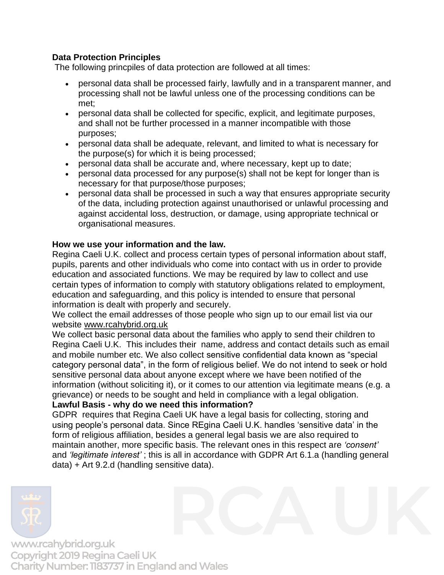# **Data Protection Principles**

The following princpiles of data protection are followed at all times:

- personal data shall be processed fairly, lawfully and in a transparent manner, and processing shall not be lawful unless one of the processing conditions can be met;
- personal data shall be collected for specific, explicit, and legitimate purposes, and shall not be further processed in a manner incompatible with those purposes;
- personal data shall be adequate, relevant, and limited to what is necessary for the purpose(s) for which it is being processed;
- personal data shall be accurate and, where necessary, kept up to date;
- personal data processed for any purpose(s) shall not be kept for longer than is necessary for that purpose/those purposes;
- personal data shall be processed in such a way that ensures appropriate security of the data, including protection against unauthorised or unlawful processing and against accidental loss, destruction, or damage, using appropriate technical or organisational measures.

# **How we use your information and the law.**

Regina Caeli U.K. collect and process certain types of personal information about staff, pupils, parents and other individuals who come into contact with us in order to provide education and associated functions. We may be required by law to collect and use certain types of information to comply with statutory obligations related to employment, education and safeguarding, and this policy is intended to ensure that personal information is dealt with properly and securely.

We collect the email addresses of those people who sign up to our email list via our website [www.rcahybrid.org.uk](http://www.rcahybrid.org.uk/)

We collect basic personal data about the families who apply to send their children to Regina Caeli U.K. This includes their name, address and contact details such as email and mobile number etc. We also collect sensitive confidential data known as "special category personal data", in the form of religious belief. We do not intend to seek or hold sensitive personal data about anyone except where we have been notified of the information (without soliciting it), or it comes to our attention via legitimate means (e.g. a grievance) or needs to be sought and held in compliance with a legal obligation.

# **Lawful Basis - why do we need this information?**

GDPR requires that Regina Caeli UK have a legal basis for collecting, storing and using people's personal data. Since REgina Caeli U.K. handles 'sensitive data' in the form of religious affiliation, besides a general legal basis we are also required to maintain another, more specific basis. The relevant ones in this respect are *'consent'*  and *'legitimate interest'* ; this is all in accordance with GDPR Art 6.1.a (handling general data) + Art 9.2.d (handling sensitive data).

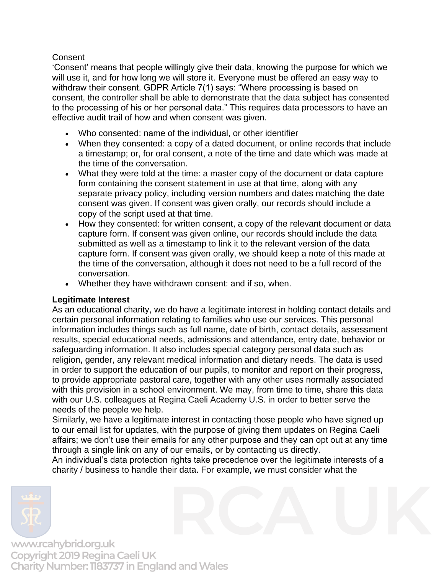## **Consent**

'Consent' means that people willingly give their data, knowing the purpose for which we will use it, and for how long we will store it. Everyone must be offered an easy way to withdraw their consent. GDPR Article 7(1) says: "Where processing is based on consent, the controller shall be able to demonstrate that the data subject has consented to the processing of his or her personal data." This requires data processors to have an effective audit trail of how and when consent was given.

- Who consented: name of the individual, or other identifier
- When they consented: a copy of a dated document, or online records that include a timestamp; or, for oral consent, a note of the time and date which was made at the time of the conversation.
- What they were told at the time: a master copy of the document or data capture form containing the consent statement in use at that time, along with any separate privacy policy, including version numbers and dates matching the date consent was given. If consent was given orally, our records should include a copy of the script used at that time.
- How they consented: for written consent, a copy of the relevant document or data capture form. If consent was given online, our records should include the data submitted as well as a timestamp to link it to the relevant version of the data capture form. If consent was given orally, we should keep a note of this made at the time of the conversation, although it does not need to be a full record of the conversation.
- Whether they have withdrawn consent: and if so, when.

# **Legitimate Interest**

As an educational charity, we do have a legitimate interest in holding contact details and certain personal information relating to families who use our services. This personal information includes things such as full name, date of birth, contact details, assessment results, special educational needs, admissions and attendance, entry date, behavior or safeguarding information. It also includes special category personal data such as religion, gender, any relevant medical information and dietary needs. The data is used in order to support the education of our pupils, to monitor and report on their progress, to provide appropriate pastoral care, together with any other uses normally associated with this provision in a school environment. We may, from time to time, share this data with our U.S. colleagues at Regina Caeli Academy U.S. in order to better serve the needs of the people we help.

Similarly, we have a legitimate interest in contacting those people who have signed up to our email list for updates, with the purpose of giving them updates on Regina Caeli affairs; we don't use their emails for any other purpose and they can opt out at any time through a single link on any of our emails, or by contacting us directly.

An individual's data protection rights take precedence over the legitimate interests of a charity / business to handle their data. For example, we must consider what the

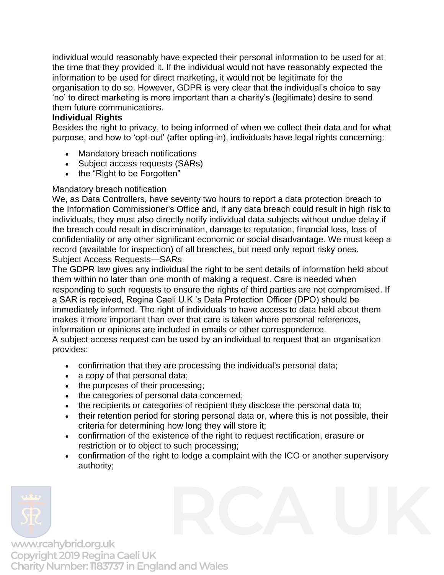individual would reasonably have expected their personal information to be used for at the time that they provided it. If the individual would not have reasonably expected the information to be used for direct marketing, it would not be legitimate for the organisation to do so. However, GDPR is very clear that the individual's choice to say 'no' to direct marketing is more important than a charity's (legitimate) desire to send them future communications.

### **Individual Rights**

Besides the right to privacy, to being informed of when we collect their data and for what purpose, and how to 'opt-out' (after opting-in), individuals have legal rights concerning:

- Mandatory breach notifications
- Subject access requests (SARs)
- the "Right to be Forgotten"

# Mandatory breach notification

We, as Data Controllers, have seventy two hours to report a data protection breach to the Information Commissioner's Office and, if any data breach could result in high risk to individuals, they must also directly notify individual data subjects without undue delay if the breach could result in discrimination, damage to reputation, financial loss, loss of confidentiality or any other significant economic or social disadvantage. We must keep a record (available for inspection) of all breaches, but need only report risky ones. Subject Access Requests—SARs

The GDPR law gives any individual the right to be sent details of information held about them within no later than one month of making a request. Care is needed when responding to such requests to ensure the rights of third parties are not compromised. If a SAR is received, Regina Caeli U.K.'s Data Protection Officer (DPO) should be immediately informed. The right of individuals to have access to data held about them makes it more important than ever that care is taken where personal references, information or opinions are included in emails or other correspondence.

A subject access request can be used by an individual to request that an organisation provides:

- confirmation that they are processing the individual's personal data;
- a copy of that personal data;
- the purposes of their processing;
- the categories of personal data concerned;
- the recipients or categories of recipient they disclose the personal data to;
- their retention period for storing personal data or, where this is not possible, their criteria for determining how long they will store it;
- confirmation of the existence of the right to request rectification, erasure or restriction or to object to such processing;
- confirmation of the right to lodge a complaint with the ICO or another supervisory authority;

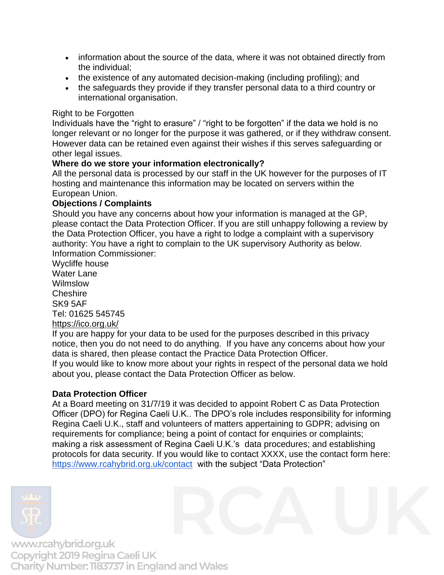- information about the source of the data, where it was not obtained directly from the individual;
- the existence of any automated decision-making (including profiling); and
- the safeguards they provide if they transfer personal data to a third country or international organisation.

## Right to be Forgotten

Individuals have the "right to erasure" / "right to be forgotten" if the data we hold is no longer relevant or no longer for the purpose it was gathered, or if they withdraw consent. However data can be retained even against their wishes if this serves safeguarding or other legal issues.

### **Where do we store your information electronically?**

All the personal data is processed by our staff in the UK however for the purposes of IT hosting and maintenance this information may be located on servers within the European Union.

# **Objections / Complaints**

Should you have any concerns about how your information is managed at the GP, please contact the Data Protection Officer. If you are still unhappy following a review by the Data Protection Officer, you have a right to lodge a complaint with a supervisory authority: You have a right to complain to the UK supervisory Authority as below. Information Commissioner:

Wycliffe house Water Lane Wilmslow **Cheshire** SK9 5AF Tel: 01625 545745 <https://ico.org.uk/>

If you are happy for your data to be used for the purposes described in this privacy notice, then you do not need to do anything. If you have any concerns about how your data is shared, then please contact the Practice Data Protection Officer.

If you would like to know more about your rights in respect of the personal data we hold about you, please contact the Data Protection Officer as below.

# **Data Protection Officer**

At a Board meeting on 31/7/19 it was decided to appoint Robert C as Data Protection Officer (DPO) for Regina Caeli U.K.. The DPO's role includes responsibility for informing Regina Caeli U.K., staff and volunteers of matters appertaining to GDPR; advising on requirements for compliance; being a point of contact for enquiries or complaints; making a risk assessment of Regina Caeli U.K.'s data procedures; and establishing protocols for data security. If you would like to contact XXXX, use the contact form here: <https://www.rcahybrid.org.uk/contact> with the subject "Data Protection"